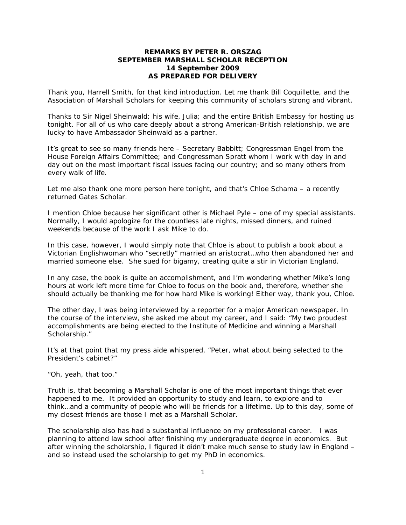## **REMARKS BY PETER R. ORSZAG SEPTEMBER MARSHALL SCHOLAR RECEPTION 14 September 2009**  *AS PREPARED FOR DELIVERY*

Thank you, Harrell Smith, for that kind introduction. Let me thank Bill Coquillette, and the Association of Marshall Scholars for keeping this community of scholars strong and vibrant.

Thanks to Sir Nigel Sheinwald; his wife, Julia; and the entire British Embassy for hosting us tonight. For all of us who care deeply about a strong American-British relationship, we are lucky to have Ambassador Sheinwald as a partner.

It's great to see so many friends here – Secretary Babbitt; Congressman Engel from the House Foreign Affairs Committee; and Congressman Spratt whom I work with day in and day out on the most important fiscal issues facing our country; and so many others from every walk of life.

Let me also thank one more person here tonight, and that's Chloe Schama – a recently returned Gates Scholar.

I mention Chloe because her significant other is Michael Pyle – one of my special assistants. Normally, I would apologize for the countless late nights, missed dinners, and ruined weekends because of the work I ask Mike to do.

In this case, however, I would simply note that Chloe is about to publish a book about a Victorian Englishwoman who "secretly" married an aristocrat…who then abandoned her and married someone else. She sued for bigamy, creating quite a stir in Victorian England.

In any case, the book is quite an accomplishment, and I'm wondering whether Mike's long hours at work left more time for Chloe to focus on the book and, therefore, whether she should actually be thanking me for how hard Mike is working! Either way, thank you, Chloe.

The other day, I was being interviewed by a reporter for a major American newspaper. In the course of the interview, she asked me about my career, and I said: "My two proudest accomplishments are being elected to the Institute of Medicine and winning a Marshall Scholarship."

It's at that point that my press aide whispered, "Peter, what about being selected to the President's cabinet?"

"Oh, yeah, that too."

Truth is, that becoming a Marshall Scholar is one of the most important things that ever happened to me. It provided an opportunity to study and learn, to explore and to think…and a community of people who will be friends for a lifetime. Up to this day, some of my closest friends are those I met as a Marshall Scholar.

The scholarship also has had a substantial influence on my professional career. I was planning to attend law school after finishing my undergraduate degree in economics. But after winning the scholarship, I figured it didn't make much sense to study law in England – and so instead used the scholarship to get my PhD in economics.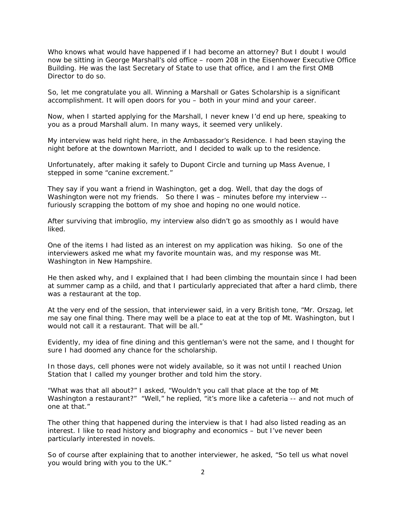Who knows what would have happened if I had become an attorney? But I doubt I would now be sitting in George Marshall's old office – room 208 in the Eisenhower Executive Office Building. He was the last Secretary of State to use that office, and I am the first OMB Director to do so.

So, let me congratulate you all. Winning a Marshall or Gates Scholarship is a significant accomplishment. It will open doors for you – both in your mind and your career.

Now, when I started applying for the Marshall, I never knew I'd end up here, speaking to you as a proud Marshall alum. In many ways, it seemed very unlikely.

My interview was held right here, in the Ambassador's Residence. I had been staying the night before at the downtown Marriott, and I decided to walk up to the residence.

Unfortunately, after making it safely to Dupont Circle and turning up Mass Avenue, I stepped in some "canine excrement."

They say if you want a friend in Washington, get a dog. Well, that day the dogs of Washington were not my friends. So there I was - minutes before my interview -furiously scrapping the bottom of my shoe and hoping no one would notice.

After surviving that imbroglio, my interview also didn't go as smoothly as I would have liked.

One of the items I had listed as an interest on my application was hiking. So one of the interviewers asked me what my favorite mountain was, and my response was Mt. Washington in New Hampshire.

He then asked why, and I explained that I had been climbing the mountain since I had been at summer camp as a child, and that I particularly appreciated that after a hard climb, there was a restaurant at the top.

At the very end of the session, that interviewer said, in a very British tone, "Mr. Orszag, let me say one final thing. There may well be a place to eat at the top of Mt. Washington, but I would not call it a restaurant. That will be all."

Evidently, my idea of fine dining and this gentleman's were not the same, and I thought for sure I had doomed any chance for the scholarship.

In those days, cell phones were not widely available, so it was not until I reached Union Station that I called my younger brother and told him the story.

"What was that all about?" I asked, "Wouldn't you call that place at the top of Mt Washington a restaurant?" "Well," he replied, "it's more like a cafeteria -- and not much of one at that."

The other thing that happened during the interview is that I had also listed reading as an interest. I like to read history and biography and economics – but I've never been particularly interested in novels.

So of course after explaining that to another interviewer, he asked, "So tell us what novel you would bring with you to the UK."